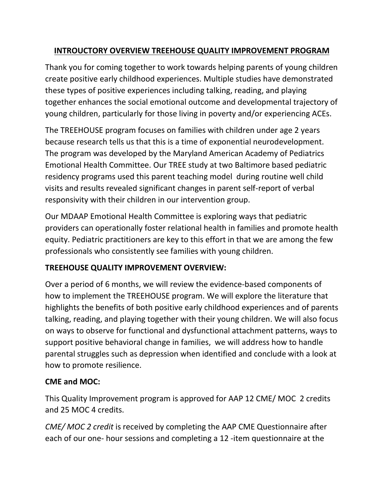# **INTROUCTORY OVERVIEW TREEHOUSE QUALITY IMPROVEMENT PROGRAM**

Thank you for coming together to work towards helping parents of young children create positive early childhood experiences. Multiple studies have demonstrated these types of positive experiences including talking, reading, and playing together enhances the social emotional outcome and developmental trajectory of young children, particularly for those living in poverty and/or experiencing ACEs.

The TREEHOUSE program focuses on families with children under age 2 years because research tells us that this is a time of exponential neurodevelopment. The program was developed by the Maryland American Academy of Pediatrics Emotional Health Committee. Our TREE study at two Baltimore based pediatric residency programs used this parent teaching model during routine well child visits and results revealed significant changes in parent self-report of verbal responsivity with their children in our intervention group.

Our MDAAP Emotional Health Committee is exploring ways that pediatric providers can operationally foster relational health in families and promote health equity. Pediatric practitioners are key to this effort in that we are among the few professionals who consistently see families with young children.

# **TREEHOUSE QUALITY IMPROVEMENT OVERVIEW:**

Over a period of 6 months, we will review the evidence-based components of how to implement the TREEHOUSE program. We will explore the literature that highlights the benefits of both positive early childhood experiences and of parents talking, reading, and playing together with their young children. We will also focus on ways to observe for functional and dysfunctional attachment patterns, ways to support positive behavioral change in families, we will address how to handle parental struggles such as depression when identified and conclude with a look at how to promote resilience.

### **CME and MOC:**

This Quality Improvement program is approved for AAP 12 CME/ MOC 2 credits and 25 MOC 4 credits.

*CME/ MOC 2 credit* is received by completing the AAP CME Questionnaire after each of our one- hour sessions and completing a 12 -item questionnaire at the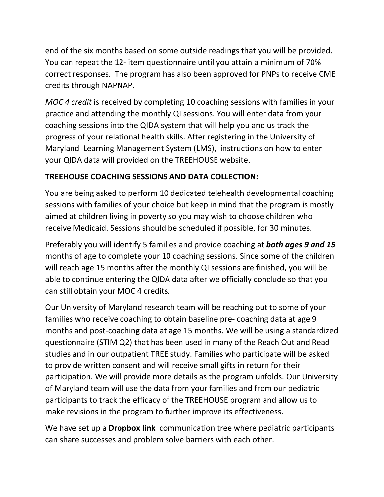end of the six months based on some outside readings that you will be provided. You can repeat the 12- item questionnaire until you attain a minimum of 70% correct responses. The program has also been approved for PNPs to receive CME credits through NAPNAP.

*MOC 4 credit* is received by completing 10 coaching sessions with families in your practice and attending the monthly QI sessions. You will enter data from your coaching sessions into the QIDA system that will help you and us track the progress of your relational health skills. After registering in the University of Maryland Learning Management System (LMS), instructions on how to enter your QIDA data will provided on the TREEHOUSE website.

### **TREEHOUSE COACHING SESSIONS AND DATA COLLECTION:**

You are being asked to perform 10 dedicated telehealth developmental coaching sessions with families of your choice but keep in mind that the program is mostly aimed at children living in poverty so you may wish to choose children who receive Medicaid. Sessions should be scheduled if possible, for 30 minutes.

Preferably you will identify 5 families and provide coaching at *both ages 9 and 15* months of age to complete your 10 coaching sessions. Since some of the children will reach age 15 months after the monthly QI sessions are finished, you will be able to continue entering the QIDA data after we officially conclude so that you can still obtain your MOC 4 credits.

Our University of Maryland research team will be reaching out to some of your families who receive coaching to obtain baseline pre- coaching data at age 9 months and post-coaching data at age 15 months. We will be using a standardized questionnaire (STIM Q2) that has been used in many of the Reach Out and Read studies and in our outpatient TREE study. Families who participate will be asked to provide written consent and will receive small gifts in return for their participation. We will provide more details as the program unfolds. Our University of Maryland team will use the data from your families and from our pediatric participants to track the efficacy of the TREEHOUSE program and allow us to make revisions in the program to further improve its effectiveness.

We have set up a **Dropbox link** communication tree where pediatric participants can share successes and problem solve barriers with each other.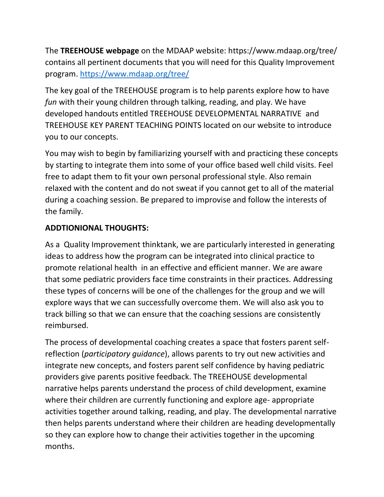The **TREEHOUSE webpage** on the MDAAP website: https://www.mdaap.org/tree/ contains all pertinent documents that you will need for this Quality Improvement program.<https://www.mdaap.org/tree/>

The key goal of the TREEHOUSE program is to help parents explore how to have *fun* with their young children through talking, reading, and play. We have developed handouts entitled TREEHOUSE DEVELOPMENTAL NARRATIVE and TREEHOUSE KEY PARENT TEACHING POINTS located on our website to introduce you to our concepts.

You may wish to begin by familiarizing yourself with and practicing these concepts by starting to integrate them into some of your office based well child visits. Feel free to adapt them to fit your own personal professional style. Also remain relaxed with the content and do not sweat if you cannot get to all of the material during a coaching session. Be prepared to improvise and follow the interests of the family.

# **ADDTIONIONAL THOUGHTS:**

As a Quality Improvement thinktank, we are particularly interested in generating ideas to address how the program can be integrated into clinical practice to promote relational health in an effective and efficient manner. We are aware that some pediatric providers face time constraints in their practices. Addressing these types of concerns will be one of the challenges for the group and we will explore ways that we can successfully overcome them. We will also ask you to track billing so that we can ensure that the coaching sessions are consistently reimbursed.

The process of developmental coaching creates a space that fosters parent selfreflection (*participatory guidance*), allows parents to try out new activities and integrate new concepts, and fosters parent self confidence by having pediatric providers give parents positive feedback. The TREEHOUSE developmental narrative helps parents understand the process of child development, examine where their children are currently functioning and explore age- appropriate activities together around talking, reading, and play. The developmental narrative then helps parents understand where their children are heading developmentally so they can explore how to change their activities together in the upcoming months.